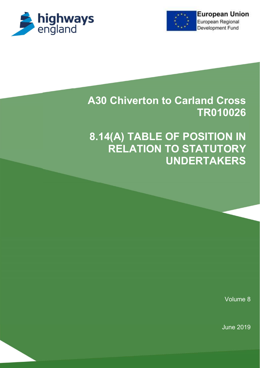



# A30 Chiverton to Carland Cross TR010026

# 8.14(A) TABLE OF POSITION IN RELATION TO STATUTORY UNDERTAKERS

Volume 8

June 2019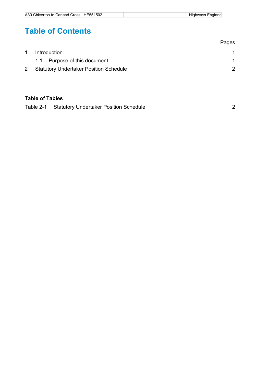## Table of Contents

|                                               | Pages |
|-----------------------------------------------|-------|
| <b>Introduction</b>                           |       |
| 1.1 Purpose of this document                  |       |
| <b>Statutory Undertaker Position Schedule</b> |       |

#### Table of Tables

| Table 2-1 Statutory Undertaker Position Schedule |  |
|--------------------------------------------------|--|
|                                                  |  |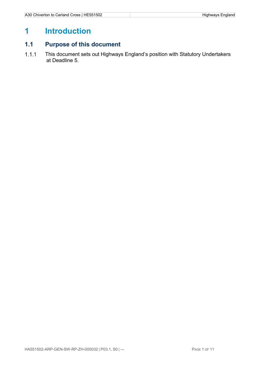## 1 Introduction

### 1.1 Purpose of this document

1.1.1 This document sets out Highways England's position with Statutory Undertakers at Deadline 5.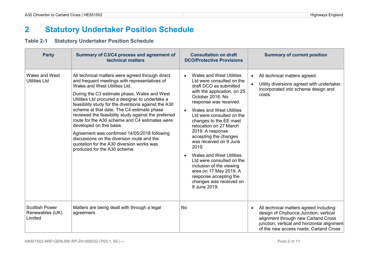## 2 Statutory Undertaker Position Schedule

### Table 2-1 Statutory Undertaker Position Schedule

| <b>Party</b>                                        | Summary of C3/C4 process and agreement of<br>technical matters                                                                                                                                                                                                                                                                                                                                                                                                                                                                                                                                                                                                | <b>Consultation on draft</b><br><b>DCO/Protective Provisions</b>                                                                                                                                                                                                                                                                                                                                                                                                                                                                                                   | <b>Summary of current position</b>                                                                                                                                                                               |
|-----------------------------------------------------|---------------------------------------------------------------------------------------------------------------------------------------------------------------------------------------------------------------------------------------------------------------------------------------------------------------------------------------------------------------------------------------------------------------------------------------------------------------------------------------------------------------------------------------------------------------------------------------------------------------------------------------------------------------|--------------------------------------------------------------------------------------------------------------------------------------------------------------------------------------------------------------------------------------------------------------------------------------------------------------------------------------------------------------------------------------------------------------------------------------------------------------------------------------------------------------------------------------------------------------------|------------------------------------------------------------------------------------------------------------------------------------------------------------------------------------------------------------------|
| Wales and West<br><b>Utilities Ltd</b>              | All technical matters were agreed through direct<br>and frequent meetings with representatives of<br>Wales and West Utilities Ltd.<br>During the C3 estimate phase, Wales and West<br>Utilities Ltd procured a designer to undertake a<br>feasibility study for the diversions against the A30<br>scheme at that date. The C4 estimate phase<br>reviewed the feasibility study against the preferred<br>route for the A30 scheme and C4 estimates were<br>developed on this basis.<br>Agreement was confirmed 14/05/2018 following<br>discussions on the diversion route and the<br>quotation for the A30 diversion works was<br>produced for the A30 scheme. | <b>Wales and West Utilities</b><br>Ltd were consulted on the<br>draft DCO as submitted<br>with the application, on 25<br>October 2018. No<br>response was received.<br><b>Wales and West Utilities</b><br>Ltd were consulted on the<br>changes to the EE mast<br>relocation on 27 March<br>2019. A response<br>accepting the changes<br>was received on 9 June<br>2019.<br><b>Wales and West Utilities</b><br>Ltd were consulted on the<br>inclusion of the viewing<br>area on 17 May 2019. A<br>response accepting the<br>changes was received on<br>9 June 2019. | All technical matters agreed.<br>$\bullet$<br>Utility diversions agreed with undertaker,<br>incorporated into scheme design and<br>costs.                                                                        |
| <b>Scottish Power</b><br>Renewables (UK)<br>Limited | Matters are being dealt with through a legal<br>agreement.                                                                                                                                                                                                                                                                                                                                                                                                                                                                                                                                                                                                    | <b>No</b>                                                                                                                                                                                                                                                                                                                                                                                                                                                                                                                                                          | All technical matters agreed including:<br>design of Chybucca Junction; vertical<br>alignment through new Carland Cross<br>junction; vertical and horizontal alignment<br>of the new access roads; Carland Cross |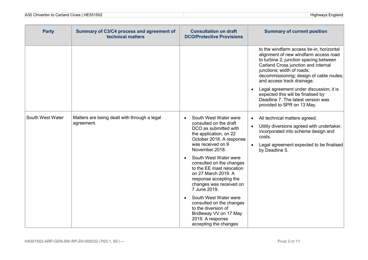| <b>Party</b>     | Summary of C3/C4 process and agreement of<br>technical matters | <b>Consultation on draft</b><br><b>DCO/Protective Provisions</b>                                                                                                                                                                                                                                                                                                              | <b>Summary of current position</b>                                                                                                                                                                                                                                          |
|------------------|----------------------------------------------------------------|-------------------------------------------------------------------------------------------------------------------------------------------------------------------------------------------------------------------------------------------------------------------------------------------------------------------------------------------------------------------------------|-----------------------------------------------------------------------------------------------------------------------------------------------------------------------------------------------------------------------------------------------------------------------------|
|                  |                                                                |                                                                                                                                                                                                                                                                                                                                                                               | to the windfarm access tie-in; horizontal<br>alignment of new windfarm access road<br>to turbine 2; junction spacing between<br>Carland Cross junction and internal<br>junctions; width of roads;<br>decommissioning; design of cable routes;<br>and access track drainage. |
|                  |                                                                |                                                                                                                                                                                                                                                                                                                                                                               | Legal agreement under discussion; it is<br>expected this will be finalised by<br>Deadline 7. The latest version was<br>provided to SPR on 13 May.                                                                                                                           |
| South West Water | Matters are being dealt with through a legal<br>agreement.     | South West Water were<br>$\bullet$<br>consulted on the draft<br>DCO as submitted with<br>the application, on 22<br>October 2018. A response<br>was received on 9<br>November 2018.<br>South West Water were<br>consulted on the changes<br>to the EE mast relocation<br>on 27 March 2019. A<br>response accepting the<br>changes was received on<br>7 June 2019.<br>$\bullet$ | All technical matters agreed.<br>Utility diversions agreed with undertaker,<br>incorporated into scheme design and<br>costs.<br>Legal agreement expected to be finalised<br>by Deadline 5.                                                                                  |
|                  |                                                                | South West Water were<br>consulted on the changes<br>to the diversion of<br>Bridleway VV on 17 May<br>2019. A response<br>accepting the changes                                                                                                                                                                                                                               |                                                                                                                                                                                                                                                                             |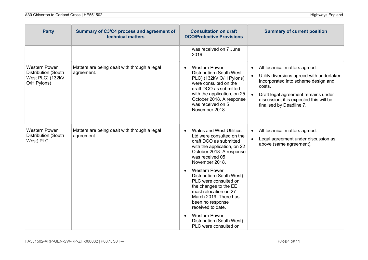| <b>Party</b>                                                                          | Summary of C3/C4 process and agreement of<br>technical matters | <b>Consultation on draft</b><br><b>DCO/Protective Provisions</b>                                                                                                                                                                                                                                                                                                                                                                                                                    | <b>Summary of current position</b>                                                                                                                                                                                                                                                |
|---------------------------------------------------------------------------------------|----------------------------------------------------------------|-------------------------------------------------------------------------------------------------------------------------------------------------------------------------------------------------------------------------------------------------------------------------------------------------------------------------------------------------------------------------------------------------------------------------------------------------------------------------------------|-----------------------------------------------------------------------------------------------------------------------------------------------------------------------------------------------------------------------------------------------------------------------------------|
|                                                                                       |                                                                | was received on 7 June<br>2019.                                                                                                                                                                                                                                                                                                                                                                                                                                                     |                                                                                                                                                                                                                                                                                   |
| <b>Western Power</b><br><b>Distribution (South</b><br>West PLC) (132kV<br>O/H Pylons) | Matters are being dealt with through a legal<br>agreement.     | <b>Western Power</b><br>$\bullet$<br><b>Distribution (South West)</b><br>PLC) (132kV O/H Pylons)<br>were consulted on the<br>draft DCO as submitted<br>with the application, on 25<br>October 2018. A response<br>was received on 5<br>November 2018.                                                                                                                                                                                                                               | All technical matters agreed.<br>$\bullet$<br>Utility diversions agreed with undertaker,<br>$\bullet$<br>incorporated into scheme design and<br>costs.<br>Draft legal agreement remains under<br>$\bullet$<br>discussion; it is expected this will be<br>finalised by Deadline 7. |
| <b>Western Power</b><br>Distribution (South<br>West) PLC                              | Matters are being dealt with through a legal<br>agreement.     | <b>Wales and West Utilities</b><br>$\bullet$<br>Ltd were consulted on the<br>draft DCO as submitted<br>with the application, on 22<br>October 2018. A response<br>was received 05<br>November 2018.<br><b>Western Power</b><br>Distribution (South West)<br>PLC were consulted on<br>the changes to the EE<br>mast relocation on 27<br>March 2019. There has<br>been no response<br>received to date.<br><b>Western Power</b><br>Distribution (South West)<br>PLC were consulted on | All technical matters agreed.<br>$\bullet$<br>Legal agreement under discussion as<br>$\bullet$<br>above (same agreement).                                                                                                                                                         |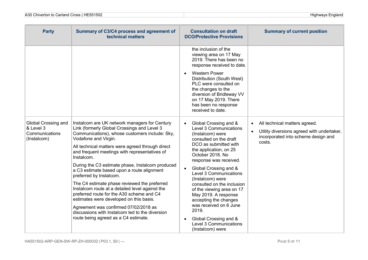| <b>Party</b>                                                             | Summary of C3/C4 process and agreement of<br>technical matters                                                                                                                                                                                                                                                                                                                                                                                                                                                                                                                                                                                                                                                                                        | <b>Consultation on draft</b><br><b>DCO/Protective Provisions</b>                                                                                                                                                                                                                                                                                                                                                                                                                                                | <b>Summary of current position</b>                                                                                                        |
|--------------------------------------------------------------------------|-------------------------------------------------------------------------------------------------------------------------------------------------------------------------------------------------------------------------------------------------------------------------------------------------------------------------------------------------------------------------------------------------------------------------------------------------------------------------------------------------------------------------------------------------------------------------------------------------------------------------------------------------------------------------------------------------------------------------------------------------------|-----------------------------------------------------------------------------------------------------------------------------------------------------------------------------------------------------------------------------------------------------------------------------------------------------------------------------------------------------------------------------------------------------------------------------------------------------------------------------------------------------------------|-------------------------------------------------------------------------------------------------------------------------------------------|
|                                                                          |                                                                                                                                                                                                                                                                                                                                                                                                                                                                                                                                                                                                                                                                                                                                                       | the inclusion of the<br>viewing area on 17 May<br>2019. There has been no<br>response received to date.                                                                                                                                                                                                                                                                                                                                                                                                         |                                                                                                                                           |
|                                                                          |                                                                                                                                                                                                                                                                                                                                                                                                                                                                                                                                                                                                                                                                                                                                                       | <b>Western Power</b><br>Distribution (South West)<br>PLC were consulted on<br>the changes to the<br>diversion of Bridleway VV<br>on 17 May 2019. There<br>has been no response<br>received to date.                                                                                                                                                                                                                                                                                                             |                                                                                                                                           |
| <b>Global Crossing and</b><br>& Level 3<br>Communications<br>(Instalcom) | Instalcom are UK network managers for Century<br>Link (formerly Global Crossings and Level 3<br>Communications), whose customers include: Sky,<br>Vodafone and Virgin.<br>All technical matters were agreed through direct<br>and frequent meetings with representatives of<br>Instalcom.<br>During the C3 estimate phase, Instalcom produced<br>a C3 estimate based upon a route alignment<br>preferred by Instalcom.<br>The C4 estimate phase reviewed the preferred<br>Instalcom route at a detailed level against the<br>preferred route for the A30 scheme and C4<br>estimates were developed on this basis.<br>Agreement was confirmed 07/02/2018 as<br>discussions with Instalcom led to the diversion<br>route being agreed as a C4 estimate. | Global Crossing and &<br>Level 3 Communications<br>(Instalcom) were<br>consulted on the draft<br>DCO as submitted with<br>the application, on 25<br>October 2018. No<br>response was received.<br>Global Crossing and &<br>$\bullet$<br>Level 3 Communications<br>(Instalcom) were<br>consulted on the inclusion<br>of the viewing area on 17<br>May 2019. A response<br>accepting the changes<br>was received on 6 June<br>2019.<br>Global Crossing and &<br><b>Level 3 Communications</b><br>(Instalcom) were | All technical matters agreed.<br>$\bullet$<br>Utility diversions agreed with undertaker,<br>incorporated into scheme design and<br>costs. |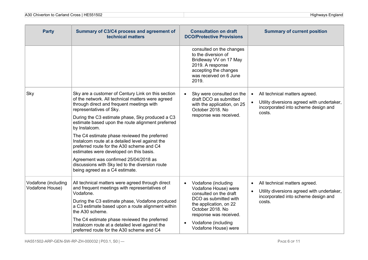| <b>Party</b>                           | Summary of C3/C4 process and agreement of<br>technical matters                                                                                                                          | <b>Consultation on draft</b><br><b>DCO/Protective Provisions</b>                                                                                          | <b>Summary of current position</b>                                                                                                        |  |
|----------------------------------------|-----------------------------------------------------------------------------------------------------------------------------------------------------------------------------------------|-----------------------------------------------------------------------------------------------------------------------------------------------------------|-------------------------------------------------------------------------------------------------------------------------------------------|--|
|                                        |                                                                                                                                                                                         | consulted on the changes<br>to the diversion of<br>Bridleway VV on 17 May<br>2019. A response<br>accepting the changes<br>was received on 6 June<br>2019. |                                                                                                                                           |  |
| Sky                                    | Sky are a customer of Century Link on this section<br>of the network. All technical matters were agreed<br>through direct and frequent meetings with<br>representatives of Sky.         | Sky were consulted on the<br>$\bullet$<br>draft DCO as submitted<br>with the application, on 25<br>October 2018. No                                       | All technical matters agreed.<br>$\bullet$<br>Utility diversions agreed with undertaker,<br>incorporated into scheme design and<br>costs. |  |
|                                        | During the C3 estimate phase, Sky produced a C3<br>estimate based upon the route alignment preferred<br>by Instalcom.                                                                   | response was received.                                                                                                                                    |                                                                                                                                           |  |
|                                        | The C4 estimate phase reviewed the preferred<br>Instalcom route at a detailed level against the<br>preferred route for the A30 scheme and C4<br>estimates were developed on this basis. |                                                                                                                                                           |                                                                                                                                           |  |
|                                        | Agreement was confirmed 25/04/2018 as<br>discussions with Sky led to the diversion route<br>being agreed as a C4 estimate.                                                              |                                                                                                                                                           |                                                                                                                                           |  |
| Vodafone (including<br>Vodafone House) | All technical matters were agreed through direct<br>and frequent meetings with representatives of<br>Vodafone.                                                                          | Vodafone (including<br>Vodafone House) were<br>consulted on the draft                                                                                     | All technical matters agreed.<br>$\bullet$<br>Utility diversions agreed with undertaker,<br>incorporated into scheme design and           |  |
|                                        | During the C3 estimate phase, Vodafone produced<br>a C3 estimate based upon a route alignment within<br>the A30 scheme.                                                                 | DCO as submitted with<br>the application, on 22<br>October 2018. No                                                                                       | costs.<br>response was received.                                                                                                          |  |
|                                        | The C4 estimate phase reviewed the preferred<br>Instalcom route at a detailed level against the<br>preferred route for the A30 scheme and C4                                            | Vodafone (including<br>Vodafone House) were                                                                                                               |                                                                                                                                           |  |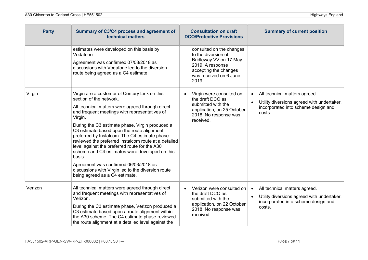| <b>Party</b> | Summary of C3/C4 process and agreement of<br>technical matters                                                                                                                                                                                                                                                                                                                                                                                                                                                                                                                                                                                   | <b>Consultation on draft</b><br><b>DCO/Protective Provisions</b>                                                                                          | <b>Summary of current position</b>                                                                                                        |
|--------------|--------------------------------------------------------------------------------------------------------------------------------------------------------------------------------------------------------------------------------------------------------------------------------------------------------------------------------------------------------------------------------------------------------------------------------------------------------------------------------------------------------------------------------------------------------------------------------------------------------------------------------------------------|-----------------------------------------------------------------------------------------------------------------------------------------------------------|-------------------------------------------------------------------------------------------------------------------------------------------|
|              | estimates were developed on this basis by<br>Vodafone.<br>Agreement was confirmed 07/03/2018 as<br>discussions with Vodafone led to the diversion<br>route being agreed as a C4 estimate.                                                                                                                                                                                                                                                                                                                                                                                                                                                        | consulted on the changes<br>to the diversion of<br>Bridleway VV on 17 May<br>2019. A response<br>accepting the changes<br>was received on 6 June<br>2019. |                                                                                                                                           |
| Virgin       | Virgin are a customer of Century Link on this<br>section of the network.<br>All technical matters were agreed through direct<br>and frequent meetings with representatives of<br>Virgin.<br>During the C3 estimate phase, Virgin produced a<br>C3 estimate based upon the route alignment<br>preferred by Instalcom. The C4 estimate phase<br>reviewed the preferred Instalcom route at a detailed<br>level against the preferred route for the A30<br>scheme and C4 estimates were developed on this<br>basis.<br>Agreement was confirmed 06/03/2018 as<br>discussions with Virgin led to the diversion route<br>being agreed as a C4 estimate. | Virgin were consulted on<br>the draft DCO as<br>submitted with the<br>application, on 25 October<br>2018. No response was<br>received.                    | All technical matters agreed.<br>$\bullet$<br>Utility diversions agreed with undertaker,<br>incorporated into scheme design and<br>costs. |
| Verizon      | All technical matters were agreed through direct<br>and frequent meetings with representatives of<br>Verizon.<br>During the C3 estimate phase, Verizon produced a<br>C3 estimate based upon a route alignment within<br>the A30 scheme. The C4 estimate phase reviewed<br>the route alignment at a detailed level against the                                                                                                                                                                                                                                                                                                                    | Verizon were consulted on<br>the draft DCO as<br>submitted with the<br>application, on 22 October<br>2018. No response was<br>received.                   | All technical matters agreed.<br>$\bullet$<br>Utility diversions agreed with undertaker,<br>incorporated into scheme design and<br>costs. |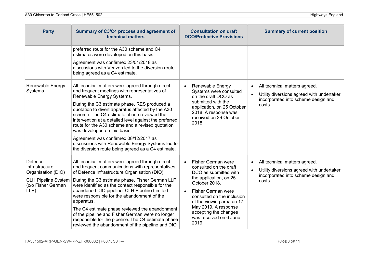| <b>Party</b>                                                                                                | Summary of C3/C4 process and agreement of<br>technical matters                                                                                                                                                                                                                                                                                                                                                                                                                                                                                                                               | <b>Consultation on draft</b><br><b>DCO/Protective Provisions</b>                                                                                                                                                                                                                                          | <b>Summary of current position</b>                                                                                                        |
|-------------------------------------------------------------------------------------------------------------|----------------------------------------------------------------------------------------------------------------------------------------------------------------------------------------------------------------------------------------------------------------------------------------------------------------------------------------------------------------------------------------------------------------------------------------------------------------------------------------------------------------------------------------------------------------------------------------------|-----------------------------------------------------------------------------------------------------------------------------------------------------------------------------------------------------------------------------------------------------------------------------------------------------------|-------------------------------------------------------------------------------------------------------------------------------------------|
|                                                                                                             | preferred route for the A30 scheme and C4<br>estimates were developed on this basis.<br>Agreement was confirmed 23/01/2018 as<br>discussions with Verizon led to the diversion route<br>being agreed as a C4 estimate.                                                                                                                                                                                                                                                                                                                                                                       |                                                                                                                                                                                                                                                                                                           |                                                                                                                                           |
| <b>Renewable Energy</b><br>Systems                                                                          | All technical matters were agreed through direct<br>and frequent meetings with representatives of<br>Renewable Energy Systems.<br>During the C3 estimate phase, RES produced a<br>quotation to divert apparatus affected by the A30<br>scheme. The C4 estimate phase reviewed the<br>intervention at a detailed level against the preferred<br>route for the A30 scheme and a revised quotation<br>was developed on this basis.<br>Agreement was confirmed 08/12/2017 as<br>discussions with Renewable Energy Systems led to<br>the diversion route being agreed as a C4 estimate.           | <b>Renewable Energy</b><br>$\bullet$<br>Systems were consulted<br>on the draft DCO as<br>submitted with the<br>application, on 25 October<br>2018. A response was<br>received on 29 October<br>2018.                                                                                                      | All technical matters agreed.<br>$\bullet$<br>Utility diversions agreed with undertaker,<br>incorporated into scheme design and<br>costs. |
| Defence<br>Infrastructure<br>Organisation (DIO)<br><b>CLH Pipeline System</b><br>(c/o Fisher German<br>LLP) | All technical matters were agreed through direct<br>and frequent communications with representatives<br>of Defence Infrastructure Organisation (DIO).<br>During the C3 estimate phase, Fisher German LLP<br>were identified as the contact responsible for the<br>abandoned DIO pipeline. CLH Pipeline Limited<br>were responsible for the abandonment of the<br>apparatus.<br>The C4 estimate phase reviewed the abandonment<br>of the pipeline and Fisher German were no longer<br>responsible for the pipeline. The C4 estimate phase<br>reviewed the abandonment of the pipeline and DIO | Fisher German were<br>$\bullet$<br>consulted on the draft<br>DCO as submitted with<br>the application, on 25<br>October 2018.<br><b>Fisher German were</b><br>consulted on the inclusion<br>of the viewing area on 17<br>May 2019. A response<br>accepting the changes<br>was received on 6 June<br>2019. | All technical matters agreed.<br>$\bullet$<br>Utility diversions agreed with undertaker,<br>incorporated into scheme design and<br>costs. |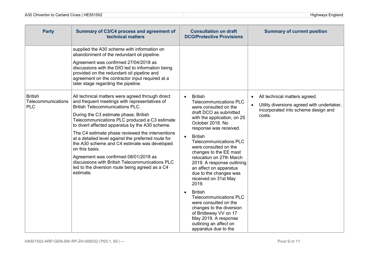| <b>Party</b>                                       | Summary of C3/C4 process and agreement of<br>technical matters                                                                                                                                                                                                                                                                                                                                                                                                                                                                                                                                                                    | <b>Consultation on draft</b><br><b>DCO/Protective Provisions</b>                                                                                                                                                                                                                                                                                                                                                                                                                                                                                                                                                                                                          | <b>Summary of current position</b>                                                                                                        |
|----------------------------------------------------|-----------------------------------------------------------------------------------------------------------------------------------------------------------------------------------------------------------------------------------------------------------------------------------------------------------------------------------------------------------------------------------------------------------------------------------------------------------------------------------------------------------------------------------------------------------------------------------------------------------------------------------|---------------------------------------------------------------------------------------------------------------------------------------------------------------------------------------------------------------------------------------------------------------------------------------------------------------------------------------------------------------------------------------------------------------------------------------------------------------------------------------------------------------------------------------------------------------------------------------------------------------------------------------------------------------------------|-------------------------------------------------------------------------------------------------------------------------------------------|
|                                                    | supplied the A30 scheme with information on<br>abandonment of the redundant oil pipeline.<br>Agreement was confirmed 27/04/2018 as<br>discussions with the DIO led to information being<br>provided on the redundant oil pipeline and<br>agreement on the contractor input required at a<br>later stage regarding the pipeline.                                                                                                                                                                                                                                                                                                   |                                                                                                                                                                                                                                                                                                                                                                                                                                                                                                                                                                                                                                                                           |                                                                                                                                           |
| <b>British</b><br>Telecommunications<br><b>PLC</b> | All technical matters were agreed through direct<br>and frequent meetings with representatives of<br><b>British Telecommunications PLC.</b><br>During the C3 estimate phase, British<br>Telecommunications PLC produced a C3 estimate<br>to divert affected apparatus by the A30 scheme.<br>The C4 estimate phase reviewed the interventions<br>at a detailed level against the preferred route for<br>the A30 scheme and C4 estimate was developed<br>on this basis.<br>Agreement was confirmed 08/01/2018 as<br>discussions with British Telecommunications PLC<br>led to the diversion route being agreed as a C4<br>estimate. | <b>British</b><br>$\bullet$<br><b>Telecommunications PLC</b><br>were consulted on the<br>draft DCO as submitted<br>with the application, on 25<br>October 2018. No<br>response was received.<br><b>British</b><br>$\bullet$<br><b>Telecommunications PLC</b><br>were consulted on the<br>changes to the EE mast<br>relocation on 27th March<br>2019. A response outlining<br>an affect on apparatus<br>due to the changes was<br>received on 31st May<br>2019.<br><b>British</b><br><b>Telecommunications PLC</b><br>were consulted on the<br>changes to the diversion<br>of Bridleway VV on 17<br>May 2019. A response<br>outlining an affect on<br>apparatus due to the | All technical matters agreed.<br>Utility diversions agreed with undertaker,<br>$\bullet$<br>incorporated into scheme design and<br>costs. |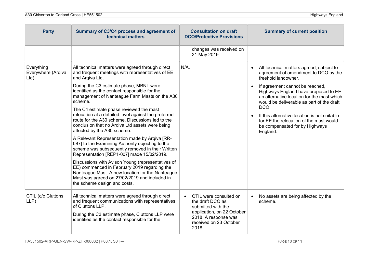| <b>Party</b>                             | Summary of C3/C4 process and agreement of<br>technical matters                                                                                                                                                                         | <b>Consultation on draft</b><br><b>DCO/Protective Provisions</b>                                                                                                       | <b>Summary of current position</b>                                                                                                                                 |
|------------------------------------------|----------------------------------------------------------------------------------------------------------------------------------------------------------------------------------------------------------------------------------------|------------------------------------------------------------------------------------------------------------------------------------------------------------------------|--------------------------------------------------------------------------------------------------------------------------------------------------------------------|
|                                          |                                                                                                                                                                                                                                        | changes was received on<br>31 May 2019.                                                                                                                                |                                                                                                                                                                    |
| Everything<br>Everywhere (Arqiva<br>Ltd) | All technical matters were agreed through direct<br>and frequent meetings with representatives of EE<br>and Argiva Ltd.                                                                                                                | N/A.                                                                                                                                                                   | All technical matters agreed, subject to<br>agreement of amendment to DCO by the<br>freehold landowner.                                                            |
|                                          | During the C3 estimate phase, MBNL were<br>identified as the contact responsible for the<br>management of Nanteague Farm Masts on the A30<br>scheme.                                                                                   |                                                                                                                                                                        | If agreement cannot be reached,<br>Highways England have proposed to EE<br>an alternative location for the mast which<br>would be deliverable as part of the draft |
|                                          | The C4 estimate phase reviewed the mast<br>relocation at a detailed level against the preferred<br>route for the A30 scheme. Discussions led to the<br>conclusion that no Arqiva Ltd assets were being<br>affected by the A30 scheme.  |                                                                                                                                                                        | DCO.<br>If this alternative location is not suitable<br>for EE the relocation of the mast would<br>be compensated for by Highways<br>England.                      |
|                                          | A Relevant Representation made by Arqiva [RR-<br>087] to the Examining Authority objecting to the<br>scheme was subsequently removed in their Written<br>Representation [REP1-007] made 15/02/2019.                                    |                                                                                                                                                                        |                                                                                                                                                                    |
|                                          | Discussions with Avison Young (representatives of<br>EE) commenced in February 2019 regarding the<br>Nanteague Mast. A new location for the Nanteague<br>Mast was agreed on 27/02/2019 and included in<br>the scheme design and costs. |                                                                                                                                                                        |                                                                                                                                                                    |
| CTIL (c/o Cluttons<br>LLP)               | All technical matters were agreed through direct<br>and frequent communications with representatives<br>of Cluttons LLP.<br>During the C3 estimate phase, Cluttons LLP were<br>identified as the contact responsible for the           | CTIL were consulted on<br>$\bullet$<br>the draft DCO as<br>submitted with the<br>application, on 22 October<br>2018. A response was<br>received on 23 October<br>2018. | No assets are being affected by the<br>scheme.                                                                                                                     |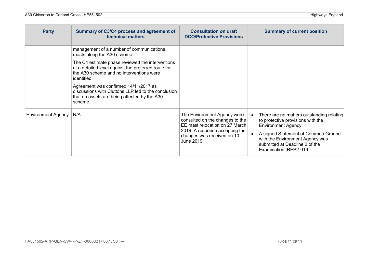| <b>Party</b>              | Summary of C3/C4 process and agreement of<br>technical matters                                                                                                                                                                                                                                                                                                                                           | <b>Consultation on draft</b><br><b>DCO/Protective Provisions</b>                                                                                                               | <b>Summary of current position</b>                                                                                                                                                                                                                  |
|---------------------------|----------------------------------------------------------------------------------------------------------------------------------------------------------------------------------------------------------------------------------------------------------------------------------------------------------------------------------------------------------------------------------------------------------|--------------------------------------------------------------------------------------------------------------------------------------------------------------------------------|-----------------------------------------------------------------------------------------------------------------------------------------------------------------------------------------------------------------------------------------------------|
|                           | management of a number of communications<br>masts along the A30 scheme.<br>The C4 estimate phase reviewed the interventions<br>at a detailed level against the preferred route for<br>the A30 scheme and no interventions were<br>identified.<br>Agreement was confirmed 14/11/2017 as<br>discussions with Cluttons LLP led to the conclusion<br>that no assets are being affected by the A30<br>scheme. |                                                                                                                                                                                |                                                                                                                                                                                                                                                     |
| <b>Environment Agency</b> | N/A                                                                                                                                                                                                                                                                                                                                                                                                      | The Environment Agency were<br>consulted on the changes to the<br>EE mast relocation on 27 March<br>2019. A response accepting the<br>changes was received on 10<br>June 2019. | There are no matters outstanding relating<br>to protective provisions with the<br><b>Environment Agency.</b><br>A signed Statement of Common Ground<br>with the Environment Agency was<br>submitted at Deadline 2 of the<br>Examination [REP2-019]. |